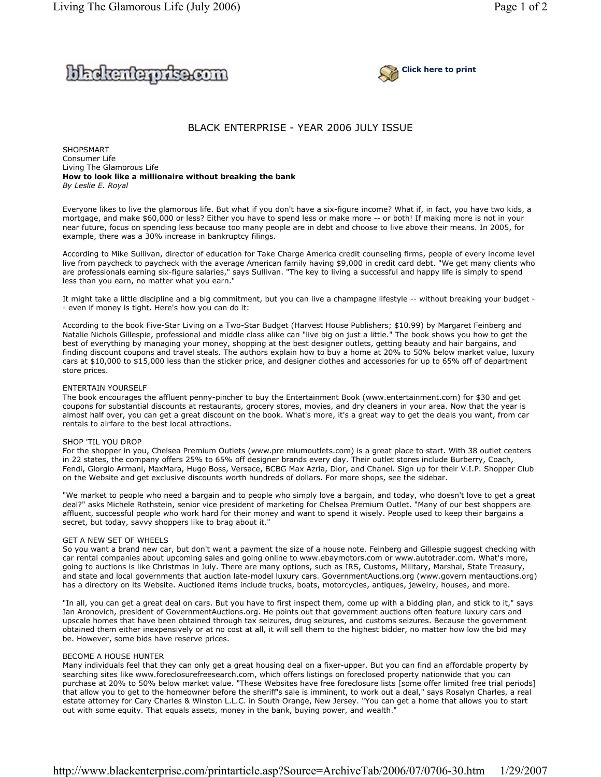



# BLACK ENTERPRISE - YEAR 2006 JULY ISSUE

SHOPSMART Consumer Life Living The Glamorous Life **How to look like a millionaire without breaking the bank** *By Leslie E. Royal* 

Everyone likes to live the glamorous life. But what if you don't have a six-figure income? What if, in fact, you have two kids, a mortgage, and make \$60,000 or less? Either you have to spend less or make more -- or both! If making more is not in your near future, focus on spending less because too many people are in debt and choose to live above their means. In 2005, for example, there was a 30% increase in bankruptcy filings.

According to Mike Sullivan, director of education for Take Charge America credit counseling firms, people of every income level live from paycheck to paycheck with the average American family having \$9,000 in credit card debt. "We get many clients who are professionals earning six-figure salaries," says Sullivan. "The key to living a successful and happy life is simply to spend less than you earn, no matter what you earn."

It might take a little discipline and a big commitment, but you can live a champagne lifestyle -- without breaking your budget - - even if money is tight. Here's how you can do it:

According to the book Five-Star Living on a Two-Star Budget (Harvest House Publishers; \$10.99) by Margaret Feinberg and Natalie Nichols Gillespie, professional and middle class alike can "live big on just a little." The book shows you how to get the best of everything by managing your money, shopping at the best designer outlets, getting beauty and hair bargains, and finding discount coupons and travel steals. The authors explain how to buy a home at 20% to 50% below market value, luxury cars at \$10,000 to \$15,000 less than the sticker price, and designer clothes and accessories for up to 65% off of department store prices.

### ENTERTAIN YOURSELF

The book encourages the affluent penny-pincher to buy the Entertainment Book (www.entertainment.com) for \$30 and get coupons for substantial discounts at restaurants, grocery stores, movies, and dry cleaners in your area. Now that the year is almost half over, you can get a great discount on the book. What's more, it's a great way to get the deals you want, from car rentals to airfare to the best local attractions.

## SHOP 'TIL YOU DROP

For the shopper in you, Chelsea Premium Outlets (www.pre miumoutlets.com) is a great place to start. With 38 outlet centers in 22 states, the company offers 25% to 65% off designer brands every day. Their outlet stores include Burberry, Coach, Fendi, Giorgio Armani, MaxMara, Hugo Boss, Versace, BCBG Max Azria, Dior, and Chanel. Sign up for their V.I.P. Shopper Club on the Website and get exclusive discounts worth hundreds of dollars. For more shops, see the sidebar.

"We market to people who need a bargain and to people who simply love a bargain, and today, who doesn't love to get a great deal?" asks Michele Rothstein, senior vice president of marketing for Chelsea Premium Outlet. "Many of our best shoppers are affluent, successful people who work hard for their money and want to spend it wisely. People used to keep their bargains a secret, but today, savvy shoppers like to brag about it."

## GET A NEW SET OF WHEELS

So you want a brand new car, but don't want a payment the size of a house note. Feinberg and Gillespie suggest checking with car rental companies about upcoming sales and going online to www.ebaymotors.com or www.autotrader.com. What's more, going to auctions is like Christmas in July. There are many options, such as IRS, Customs, Military, Marshal, State Treasury, and state and local governments that auction late-model luxury cars. GovernmentAuctions.org (www.govern mentauctions.org) has a directory on its Website. Auctioned items include trucks, boats, motorcycles, antiques, jewelry, houses, and more.

"In all, you can get a great deal on cars. But you have to first inspect them, come up with a bidding plan, and stick to it," says Ian Aronovich, president of GovernmentAuctions.org. He points out that government auctions often feature luxury cars and upscale homes that have been obtained through tax seizures, drug seizures, and customs seizures. Because the government obtained them either inexpensively or at no cost at all, it will sell them to the highest bidder, no matter how low the bid may be. However, some bids have reserve prices.

## BECOME A HOUSE HUNTER

Many individuals feel that they can only get a great housing deal on a fixer-upper. But you can find an affordable property by searching sites like www.foreclosurefreesearch.com, which offers listings on foreclosed property nationwide that you can purchase at 20% to 50% below market value. "These Websites have free foreclosure lists [some offer limited free trial periods] that allow you to get to the homeowner before the sheriff's sale is imminent, to work out a deal," says Rosalyn Charles, a real estate attorney for Cary Charles & Winston L.L.C. in South Orange, New Jersey. "You can get a home that allows you to start out with some equity. That equals assets, money in the bank, buying power, and wealth."